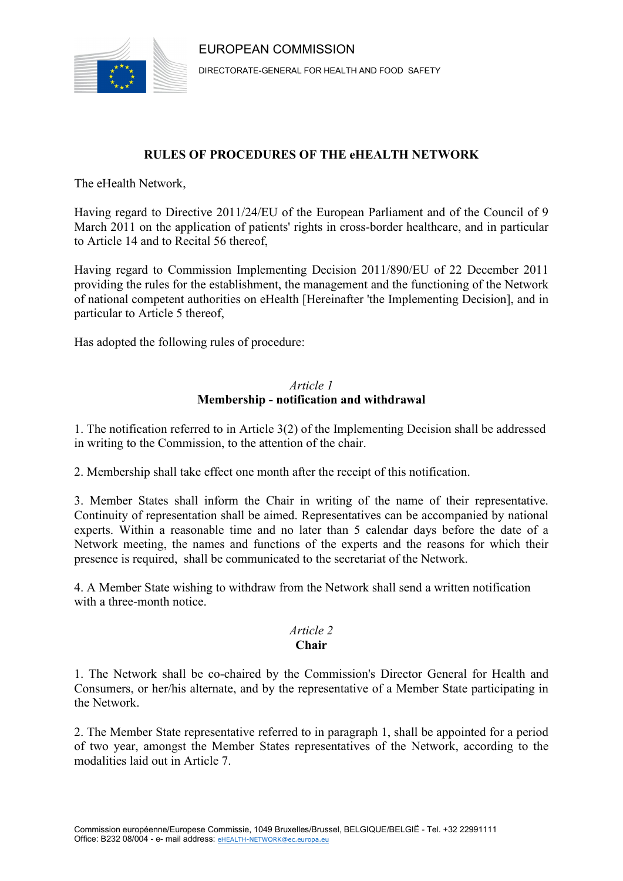



DIRECTORATE-GENERAL FOR HEALTH AND FOOD SAFETY

## **RULES OF PROCEDURES OF THE eHEALTH NETWORK**

The eHealth Network,

Having regard to Directive 2011/24/EU of the European Parliament and of the Council of 9 March 2011 on the application of patients' rights in cross-border healthcare, and in particular to Article 14 and to Recital 56 thereof,

Having regard to Commission Implementing Decision 2011/890/EU of 22 December 2011 providing the rules for the establishment, the management and the functioning of the Network of national competent authorities on eHealth [Hereinafter 'the Implementing Decision], and in particular to Article 5 thereof,

Has adopted the following rules of procedure:

## *Article 1*  **Membership - notification and withdrawal**

1. The notification referred to in Article 3(2) of the Implementing Decision shall be addressed in writing to the Commission, to the attention of the chair.

2. Membership shall take effect one month after the receipt of this notification.

3. Member States shall inform the Chair in writing of the name of their representative. Continuity of representation shall be aimed. Representatives can be accompanied by national experts. Within a reasonable time and no later than 5 calendar days before the date of a Network meeting, the names and functions of the experts and the reasons for which their presence is required, shall be communicated to the secretariat of the Network.

4. A Member State wishing to withdraw from the Network shall send a written notification with a three-month notice.

#### *Article 2* **Chair**

1. The Network shall be co-chaired by the Commission's Director General for Health and Consumers, or her/his alternate, and by the representative of a Member State participating in the Network.

2. The Member State representative referred to in paragraph 1, shall be appointed for a period of two year, amongst the Member States representatives of the Network, according to the modalities laid out in Article 7.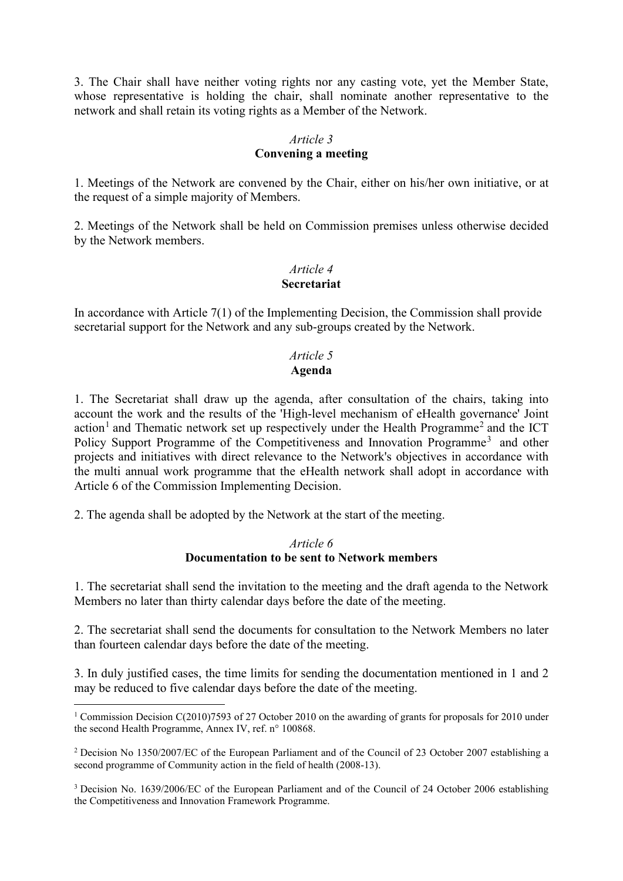3. The Chair shall have neither voting rights nor any casting vote, yet the Member State, whose representative is holding the chair, shall nominate another representative to the network and shall retain its voting rights as a Member of the Network.

#### *Article 3*

### **Convening a meeting**

1. Meetings of the Network are convened by the Chair, either on his/her own initiative, or at the request of a simple majority of Members.

2. Meetings of the Network shall be held on Commission premises unless otherwise decided by the Network members.

## *Article 4* **Secretariat**

In accordance with Article 7(1) of the Implementing Decision, the Commission shall provide secretarial support for the Network and any sub-groups created by the Network.

## *Article 5* **Agenda**

1. The Secretariat shall draw up the agenda, after consultation of the chairs, taking into account the work and the results of the 'High-level mechanism of eHealth governance' Joint action<sup>[1](#page-1-0)</sup> and Thematic network set up respectively under the Health Programme<sup>[2](#page-1-1)</sup> and the ICT Policy Support Programme of the Competitiveness and Innovation Programme<sup>[3](#page-1-2)</sup> and other projects and initiatives with direct relevance to the Network's objectives in accordance with the multi annual work programme that the eHealth network shall adopt in accordance with Article 6 of the Commission Implementing Decision.

2. The agenda shall be adopted by the Network at the start of the meeting.

### *Article 6* **Documentation to be sent to Network members**

1. The secretariat shall send the invitation to the meeting and the draft agenda to the Network Members no later than thirty calendar days before the date of the meeting.

2. The secretariat shall send the documents for consultation to the Network Members no later than fourteen calendar days before the date of the meeting.

3. In duly justified cases, the time limits for sending the documentation mentioned in 1 and 2 may be reduced to five calendar days before the date of the meeting.

<span id="page-1-0"></span><sup>&</sup>lt;sup>1</sup> Commission Decision C(2010)7593 of 27 October 2010 on the awarding of grants for proposals for 2010 under the second Health Programme, Annex IV, ref. n° 100868.

<span id="page-1-1"></span><sup>2</sup> Decision No 1350/2007/EC of the European Parliament and of the Council of 23 October 2007 establishing a second programme of Community action in the field of health (2008-13).

<span id="page-1-2"></span><sup>3</sup> Decision No. 1639/2006/EC of the European Parliament and of the Council of 24 October 2006 establishing the Competitiveness and Innovation Framework Programme.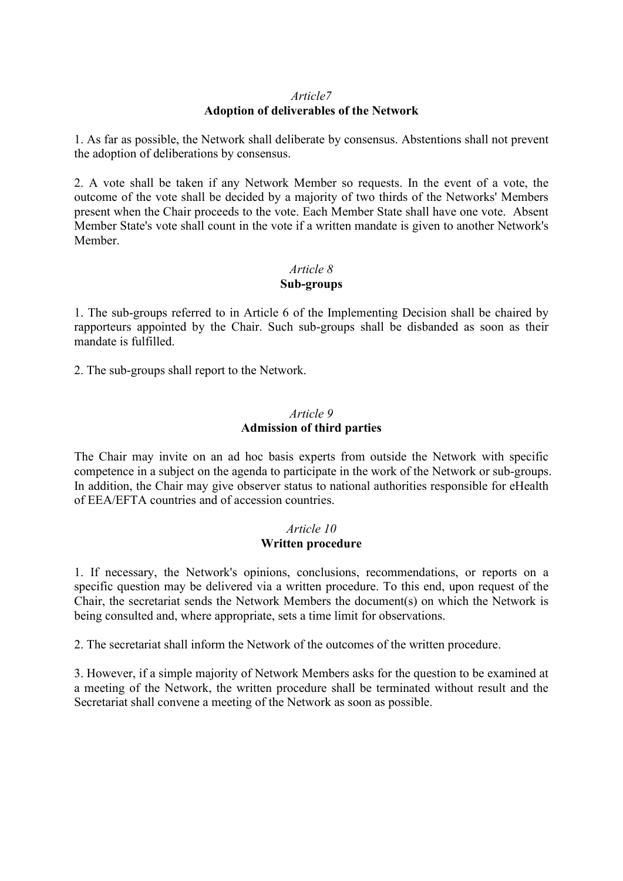## *Article7* **Adoption of deliverables of the Network**

1. As far as possible, the Network shall deliberate by consensus. Abstentions shall not prevent the adoption of deliberations by consensus.

2. A vote shall be taken if any Network Member so requests. In the event of a vote, the outcome of the vote shall be decided by a majority of two thirds of the Networks' Members present when the Chair proceeds to the vote. Each Member State shall have one vote. Absent Member State's vote shall count in the vote if a written mandate is given to another Network's Member.

#### *Article 8* **Sub-groups**

1. The sub-groups referred to in Article 6 of the Implementing Decision shall be chaired by rapporteurs appointed by the Chair. Such sub-groups shall be disbanded as soon as their mandate is fulfilled.

2. The sub-groups shall report to the Network.

### *Article 9* **Admission of third parties**

The Chair may invite on an ad hoc basis experts from outside the Network with specific competence in a subject on the agenda to participate in the work of the Network or sub-groups. In addition, the Chair may give observer status to national authorities responsible for eHealth of EEA/EFTA countries and of accession countries.

### *Article 10* **Written procedure**

1. If necessary, the Network's opinions, conclusions, recommendations, or reports on a specific question may be delivered via a written procedure. To this end, upon request of the Chair, the secretariat sends the Network Members the document(s) on which the Network is being consulted and, where appropriate, sets a time limit for observations.

2. The secretariat shall inform the Network of the outcomes of the written procedure.

3. However, if a simple majority of Network Members asks for the question to be examined at a meeting of the Network, the written procedure shall be terminated without result and the Secretariat shall convene a meeting of the Network as soon as possible.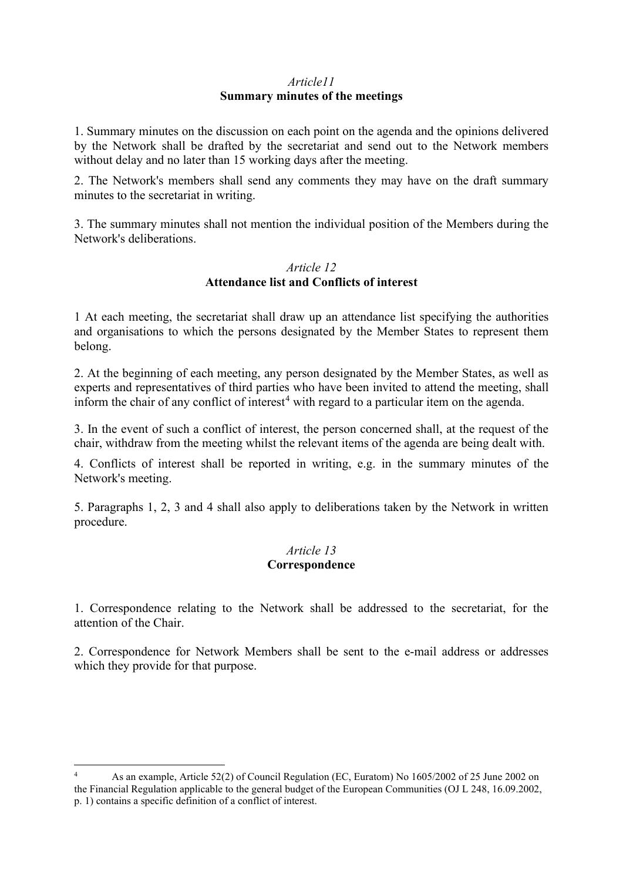## *Article11* **Summary minutes of the meetings**

1. Summary minutes on the discussion on each point on the agenda and the opinions delivered by the Network shall be drafted by the secretariat and send out to the Network members without delay and no later than 15 working days after the meeting.

2. The Network's members shall send any comments they may have on the draft summary minutes to the secretariat in writing.

3. The summary minutes shall not mention the individual position of the Members during the Network's deliberations.

## *Article 12* **Attendance list and Conflicts of interest**

1 At each meeting, the secretariat shall draw up an attendance list specifying the authorities and organisations to which the persons designated by the Member States to represent them belong.

2. At the beginning of each meeting, any person designated by the Member States, as well as experts and representatives of third parties who have been invited to attend the meeting, shall inform the chair of any conflict of interest<sup>[4](#page-3-0)</sup> with regard to a particular item on the agenda.

3. In the event of such a conflict of interest, the person concerned shall, at the request of the chair, withdraw from the meeting whilst the relevant items of the agenda are being dealt with.

4. Conflicts of interest shall be reported in writing, e.g. in the summary minutes of the Network's meeting.

5. Paragraphs 1, 2, 3 and 4 shall also apply to deliberations taken by the Network in written procedure.

### *Article 13* **Correspondence**

1. Correspondence relating to the Network shall be addressed to the secretariat, for the attention of the Chair.

2. Correspondence for Network Members shall be sent to the e-mail address or addresses which they provide for that purpose.

<span id="page-3-0"></span><sup>4</sup> As an example, Article 52(2) of Council Regulation (EC, Euratom) No 1605/2002 of 25 June 2002 on the Financial Regulation applicable to the general budget of the European Communities (OJ L 248, 16.09.2002, p. 1) contains a specific definition of a conflict of interest.